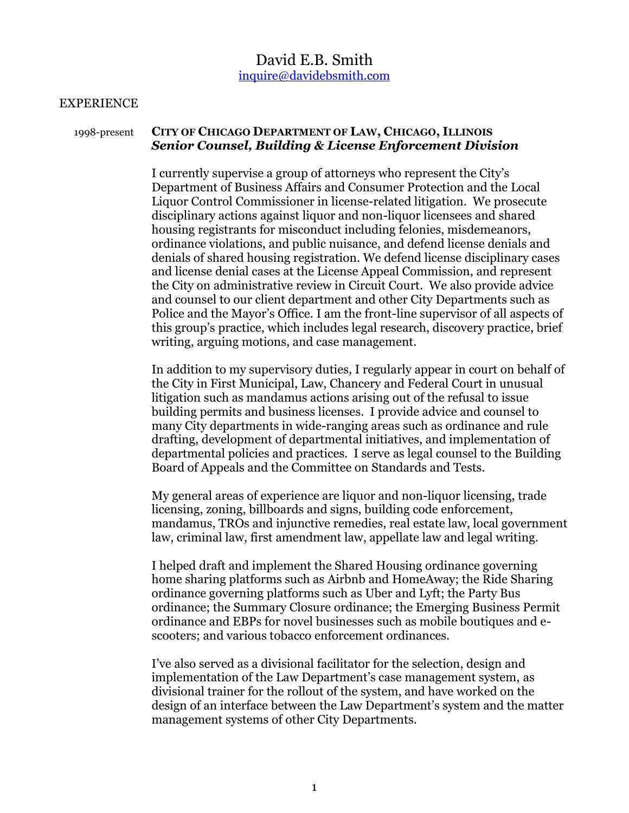# David E.B. Smith [inquire@davidebsmith.com](mailto:inquire@davidebsmith.com)

#### **EXPERIENCE**

## 1998-present **CITY OF CHICAGO DEPARTMENT OF LAW, CHICAGO, ILLINOIS**  *Senior Counsel, Building & License Enforcement Division*

I currently supervise a group of attorneys who represent the City's Department of Business Affairs and Consumer Protection and the Local Liquor Control Commissioner in license-related litigation. We prosecute disciplinary actions against liquor and non-liquor licensees and shared housing registrants for misconduct including felonies, misdemeanors, ordinance violations, and public nuisance, and defend license denials and denials of shared housing registration. We defend license disciplinary cases and license denial cases at the License Appeal Commission, and represent the City on administrative review in Circuit Court. We also provide advice and counsel to our client department and other City Departments such as Police and the Mayor's Office. I am the front-line supervisor of all aspects of this group's practice, which includes legal research, discovery practice, brief writing, arguing motions, and case management.

In addition to my supervisory duties, I regularly appear in court on behalf of the City in First Municipal, Law, Chancery and Federal Court in unusual litigation such as mandamus actions arising out of the refusal to issue building permits and business licenses. I provide advice and counsel to many City departments in wide-ranging areas such as ordinance and rule drafting, development of departmental initiatives, and implementation of departmental policies and practices. I serve as legal counsel to the Building Board of Appeals and the Committee on Standards and Tests.

My general areas of experience are liquor and non-liquor licensing, trade licensing, zoning, billboards and signs, building code enforcement, mandamus, TROs and injunctive remedies, real estate law, local government law, criminal law, first amendment law, appellate law and legal writing.

I helped draft and implement the Shared Housing ordinance governing home sharing platforms such as Airbnb and HomeAway; the Ride Sharing ordinance governing platforms such as Uber and Lyft; the Party Bus ordinance; the Summary Closure ordinance; the Emerging Business Permit ordinance and EBPs for novel businesses such as mobile boutiques and escooters; and various tobacco enforcement ordinances.

I've also served as a divisional facilitator for the selection, design and implementation of the Law Department's case management system, as divisional trainer for the rollout of the system, and have worked on the design of an interface between the Law Department's system and the matter management systems of other City Departments.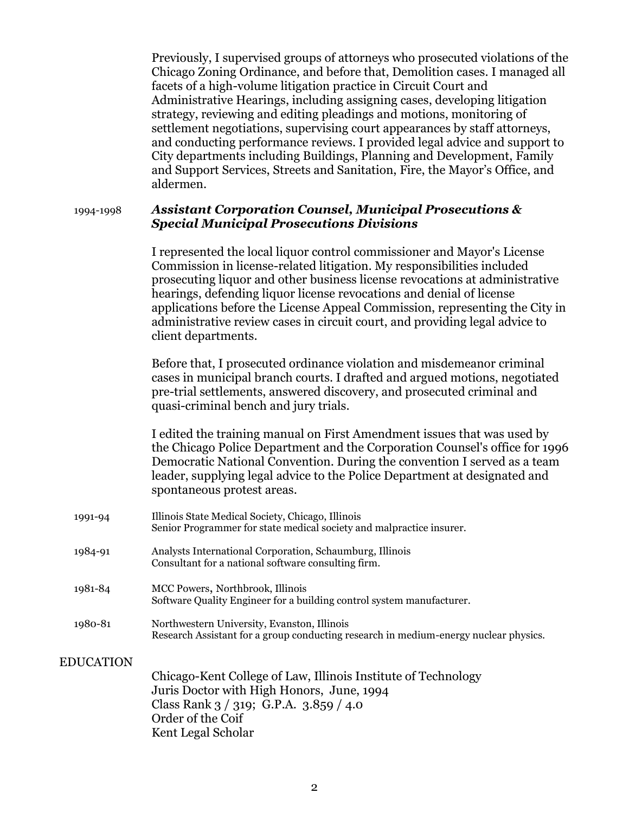| Previously, I supervised groups of attorneys who prosecuted violations of the |
|-------------------------------------------------------------------------------|
| Chicago Zoning Ordinance, and before that, Demolition cases. I managed all    |
| facets of a high-volume litigation practice in Circuit Court and              |
| Administrative Hearings, including assigning cases, developing litigation     |
| strategy, reviewing and editing pleadings and motions, monitoring of          |
| settlement negotiations, supervising court appearances by staff attorneys,    |
| and conducting performance reviews. I provided legal advice and support to    |
| City departments including Buildings, Planning and Development, Family        |
| and Support Services, Streets and Sanitation, Fire, the Mayor's Office, and   |
| aldermen.                                                                     |

1994-1998 *Assistant Corporation Counsel, Municipal Prosecutions & Special Municipal Prosecutions Divisions*

> I represented the local liquor control commissioner and Mayor's License Commission in license-related litigation. My responsibilities included prosecuting liquor and other business license revocations at administrative hearings, defending liquor license revocations and denial of license applications before the License Appeal Commission, representing the City in administrative review cases in circuit court, and providing legal advice to client departments.

Before that, I prosecuted ordinance violation and misdemeanor criminal cases in municipal branch courts. I drafted and argued motions, negotiated pre-trial settlements, answered discovery, and prosecuted criminal and quasi-criminal bench and jury trials.

I edited the training manual on First Amendment issues that was used by the Chicago Police Department and the Corporation Counsel's office for 1996 Democratic National Convention. During the convention I served as a team leader, supplying legal advice to the Police Department at designated and spontaneous protest areas.

- 1991-94 Illinois State Medical Society, Chicago, Illinois Senior Programmer for state medical society and malpractice insurer. 1984-91 Analysts International Corporation, Schaumburg, Illinois Consultant for a national software consulting firm.
- 1981-84 MCC Powers, Northbrook, Illinois Software Quality Engineer for a building control system manufacturer.
- 1980-81 Northwestern University, Evanston, Illinois Research Assistant for a group conducting research in medium-energy nuclear physics.

EDUCATION

Chicago-Kent College of Law, Illinois Institute of Technology Juris Doctor with High Honors, June, 1994 Class Rank 3 / 319; G.P.A. 3.859 / 4.0 Order of the Coif Kent Legal Scholar